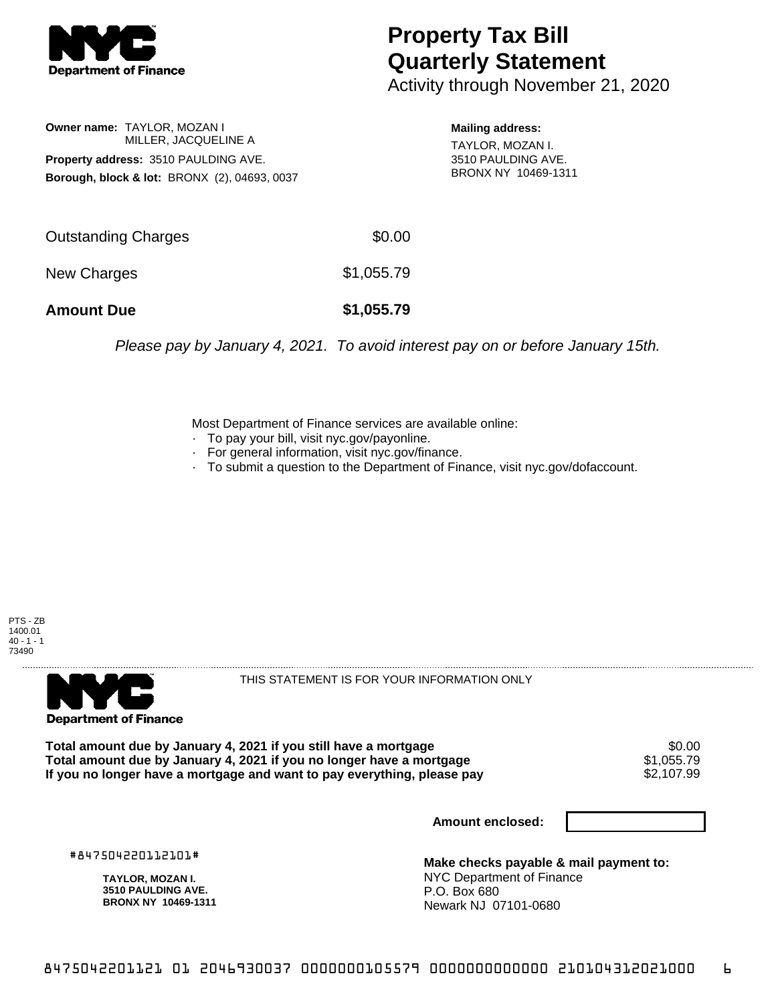

## **Property Tax Bill Quarterly Statement**

Activity through November 21, 2020

**Owner name:** TAYLOR, MOZAN I MILLER, JACQUELINE A **Property address:** 3510 PAULDING AVE. **Borough, block & lot:** BRONX (2), 04693, 0037

**Mailing address:**

TAYLOR, MOZAN I. 3510 PAULDING AVE. BRONX NY 10469-1311

| <b>Amount Due</b>   | \$1,055.79 |
|---------------------|------------|
| New Charges         | \$1,055.79 |
| Outstanding Charges | \$0.00     |

Please pay by January 4, 2021. To avoid interest pay on or before January 15th.

Most Department of Finance services are available online:

- · To pay your bill, visit nyc.gov/payonline.
- For general information, visit nyc.gov/finance.
- · To submit a question to the Department of Finance, visit nyc.gov/dofaccount.

PTS - ZB 1400.01  $40 - 1 - 1$ 73490



THIS STATEMENT IS FOR YOUR INFORMATION ONLY

Total amount due by January 4, 2021 if you still have a mortgage  $$0.00$ <br>Total amount due by January 4, 2021 if you no longer have a mortgage  $$1,055.79$ **Total amount due by January 4, 2021 if you no longer have a mortgage**  $$1,055.79$ **<br>If you no longer have a mortgage and want to pay everything, please pay**  $$2,107.99$ If you no longer have a mortgage and want to pay everything, please pay

**Amount enclosed:**

#847504220112101#

**TAYLOR, MOZAN I. 3510 PAULDING AVE. BRONX NY 10469-1311**

**Make checks payable & mail payment to:** NYC Department of Finance P.O. Box 680 Newark NJ 07101-0680